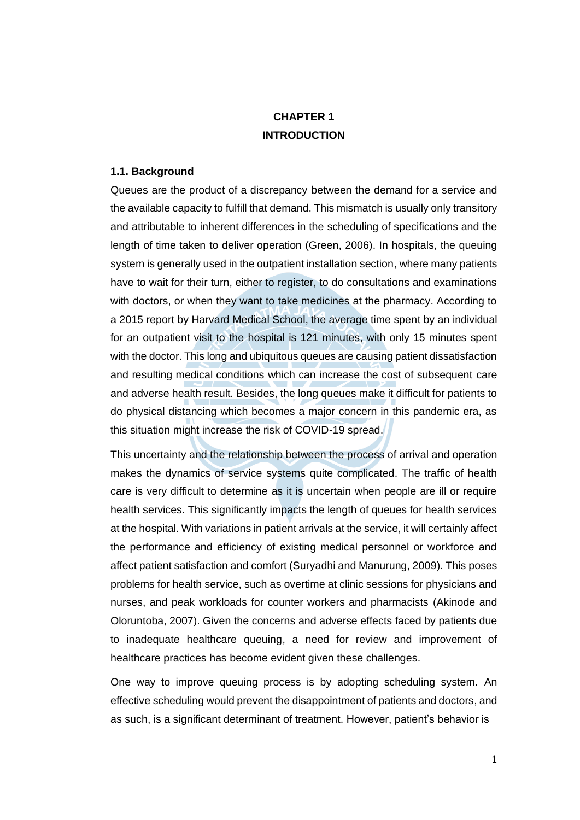# **CHAPTER 1 INTRODUCTION**

#### **1.1. Background**

Queues are the product of a discrepancy between the demand for a service and the available capacity to fulfill that demand. This mismatch is usually only transitory and attributable to inherent differences in the scheduling of specifications and the length of time taken to deliver operation (Green, 2006). In hospitals, the queuing system is generally used in the outpatient installation section, where many patients have to wait for their turn, either to register, to do consultations and examinations with doctors, or when they want to take medicines at the pharmacy. According to a 2015 report by Harvard Medical School, the average time spent by an individual for an outpatient visit to the hospital is 121 minutes, with only 15 minutes spent with the doctor. This long and ubiquitous queues are causing patient dissatisfaction and resulting medical conditions which can increase the cost of subsequent care and adverse health result. Besides, the long queues make it difficult for patients to do physical distancing which becomes a major concern in this pandemic era, as this situation might increase the risk of COVID-19 spread.

This uncertainty and the relationship between the process of arrival and operation makes the dynamics of service systems quite complicated. The traffic of health care is very difficult to determine as it is uncertain when people are ill or require health services. This significantly impacts the length of queues for health services at the hospital. With variations in patient arrivals at the service, it will certainly affect the performance and efficiency of existing medical personnel or workforce and affect patient satisfaction and comfort (Suryadhi and Manurung, 2009). This poses problems for health service, such as overtime at clinic sessions for physicians and nurses, and peak workloads for counter workers and pharmacists (Akinode and Oloruntoba, 2007). Given the concerns and adverse effects faced by patients due to inadequate healthcare queuing, a need for review and improvement of healthcare practices has become evident given these challenges.

One way to improve queuing process is by adopting scheduling system. An effective scheduling would prevent the disappointment of patients and doctors, and as such, is a significant determinant of treatment. However, patient's behavior is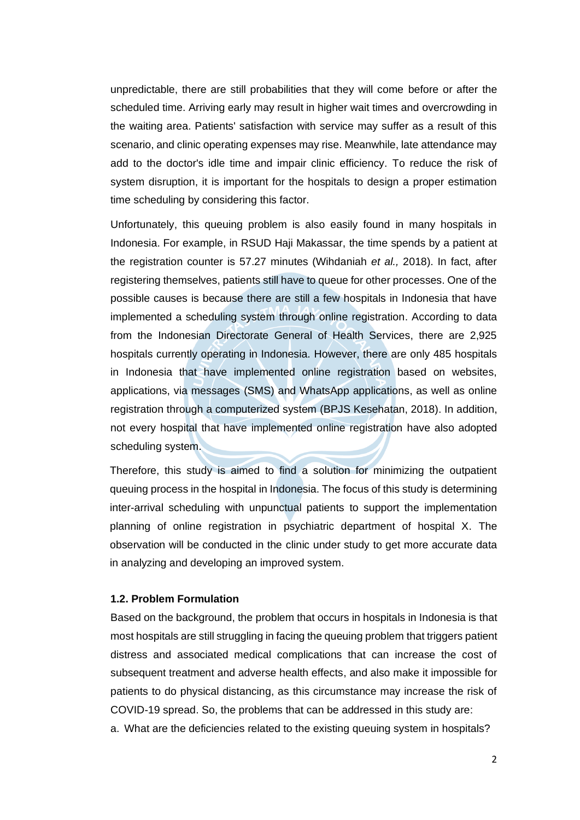unpredictable, there are still probabilities that they will come before or after the scheduled time. Arriving early may result in higher wait times and overcrowding in the waiting area. Patients' satisfaction with service may suffer as a result of this scenario, and clinic operating expenses may rise. Meanwhile, late attendance may add to the doctor's idle time and impair clinic efficiency. To reduce the risk of system disruption, it is important for the hospitals to design a proper estimation time scheduling by considering this factor.

Unfortunately, this queuing problem is also easily found in many hospitals in Indonesia. For example, in RSUD Haji Makassar, the time spends by a patient at the registration counter is 57.27 minutes (Wihdaniah *et al.,* 2018). In fact, after registering themselves, patients still have to queue for other processes. One of the possible causes is because there are still a few hospitals in Indonesia that have implemented a scheduling system through online registration. According to data from the Indonesian Directorate General of Health Services, there are 2,925 hospitals currently operating in Indonesia. However, there are only 485 hospitals in Indonesia that have implemented online registration based on websites, applications, via messages (SMS) and WhatsApp applications, as well as online registration through a computerized system (BPJS Kesehatan, 2018). In addition, not every hospital that have implemented online registration have also adopted scheduling system.

Therefore, this study is aimed to find a solution for minimizing the outpatient queuing process in the hospital in Indonesia. The focus of this study is determining inter-arrival scheduling with unpunctual patients to support the implementation planning of online registration in psychiatric department of hospital X. The observation will be conducted in the clinic under study to get more accurate data in analyzing and developing an improved system.

#### **1.2. Problem Formulation**

Based on the background, the problem that occurs in hospitals in Indonesia is that most hospitals are still struggling in facing the queuing problem that triggers patient distress and associated medical complications that can increase the cost of subsequent treatment and adverse health effects, and also make it impossible for patients to do physical distancing, as this circumstance may increase the risk of COVID-19 spread. So, the problems that can be addressed in this study are: a. What are the deficiencies related to the existing queuing system in hospitals?